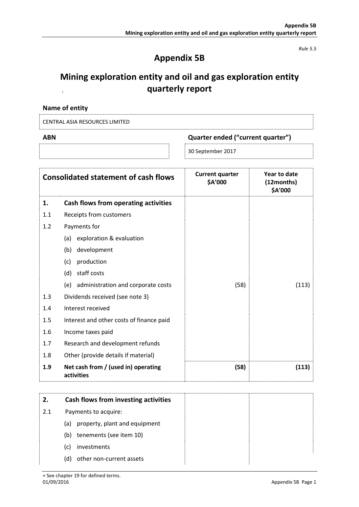*Rule 5.5*

# **Appendix 5B**

#### **Mining exploration entity and oil and gas exploration entity quarterly report**  $\overline{1}$  .

| Name of entity |  |
|----------------|--|
|                |  |

|--|

| ABN | Quarter ended ("current quarter") |
|-----|-----------------------------------|
|     | $\,^{\circ}$ 30 September 2017    |

|     | <b>Consolidated statement of cash flows</b>       | <b>Current quarter</b><br>\$A'000 | Year to date<br>(12months)<br>\$A'000 |
|-----|---------------------------------------------------|-----------------------------------|---------------------------------------|
| 1.  | Cash flows from operating activities              |                                   |                                       |
| 1.1 | Receipts from customers                           |                                   |                                       |
| 1.2 | Payments for                                      |                                   |                                       |
|     | exploration & evaluation<br>(a)                   |                                   |                                       |
|     | development<br>(b)                                |                                   |                                       |
|     | production<br>(c)                                 |                                   |                                       |
|     | staff costs<br>(d)                                |                                   |                                       |
|     | administration and corporate costs<br>(e)         | (58)                              | (113)                                 |
| 1.3 | Dividends received (see note 3)                   |                                   |                                       |
| 1.4 | Interest received                                 |                                   |                                       |
| 1.5 | Interest and other costs of finance paid          |                                   |                                       |
| 1.6 | Income taxes paid                                 |                                   |                                       |
| 1.7 | Research and development refunds                  |                                   |                                       |
| 1.8 | Other (provide details if material)               |                                   |                                       |
| 1.9 | Net cash from / (used in) operating<br>activities | (58)                              | (113)                                 |
|     |                                                   |                                   |                                       |

| 2.  | Cash flows from investing activities |
|-----|--------------------------------------|
| 2.1 | Payments to acquire:                 |
|     | property, plant and equipment<br>(a) |
|     | tenements (see item 10)<br>(b)       |
|     | investments<br>(C)                   |
|     | other non-current assets<br>(d)      |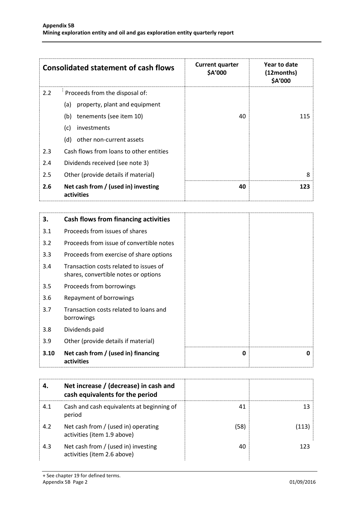|         | <b>Consolidated statement of cash flows</b>       | <b>Current quarter</b><br>\$A'000 | Year to date<br>(12months)<br>\$A'000 |
|---------|---------------------------------------------------|-----------------------------------|---------------------------------------|
| 2.2     | Proceeds from the disposal of:                    |                                   |                                       |
|         | property, plant and equipment<br>(a)              |                                   |                                       |
|         | tenements (see item 10)<br>(b)                    | 40                                | 115                                   |
|         | investments<br>(c)                                |                                   |                                       |
|         | other non-current assets<br>(d)                   |                                   |                                       |
| 2.3     | Cash flows from loans to other entities           |                                   |                                       |
| 2.4     | Dividends received (see note 3)                   |                                   |                                       |
| $2.5\,$ | Other (provide details if material)               |                                   | 8                                     |
| 2.6     | Net cash from / (used in) investing<br>activities | 40                                | 123                                   |

| 3.   | <b>Cash flows from financing activities</b>                                    |   |   |
|------|--------------------------------------------------------------------------------|---|---|
| 3.1  | Proceeds from issues of shares                                                 |   |   |
| 3.2  | Proceeds from issue of convertible notes                                       |   |   |
| 3.3  | Proceeds from exercise of share options                                        |   |   |
| 3.4  | Transaction costs related to issues of<br>shares, convertible notes or options |   |   |
| 3.5  | Proceeds from borrowings                                                       |   |   |
| 3.6  | Repayment of borrowings                                                        |   |   |
| 3.7  | Transaction costs related to loans and<br>borrowings                           |   |   |
| 3.8  | Dividends paid                                                                 |   |   |
| 3.9  | Other (provide details if material)                                            |   |   |
| 3.10 | Net cash from / (used in) financing<br>activities                              | 0 | n |

| 4   | Net increase / (decrease) in cash and<br>cash equivalents for the period |      |     |
|-----|--------------------------------------------------------------------------|------|-----|
| 4.1 | Cash and cash equivalents at beginning of<br>period                      | 41   |     |
| 4.2 | Net cash from / (used in) operating<br>activities (item 1.9 above)       | (58) |     |
| 4.3 | Net cash from / (used in) investing<br>activities (item 2.6 above)       | 40   | 123 |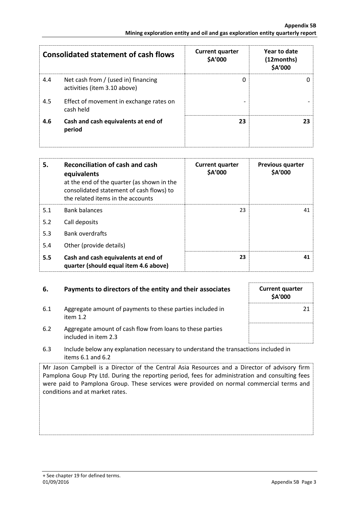|     | <b>Consolidated statement of cash flows</b>                         | <b>Current quarter</b><br>\$A'000 | Year to date<br>(12months)<br>\$A'000 |
|-----|---------------------------------------------------------------------|-----------------------------------|---------------------------------------|
| 4.4 | Net cash from / (used in) financing<br>activities (item 3.10 above) | 0                                 |                                       |
| 4.5 | Effect of movement in exchange rates on<br>cash held                |                                   |                                       |
| 4.6 | Cash and cash equivalents at end of<br>period                       | 23                                |                                       |

| 5.  | Reconciliation of cash and cash<br>equivalents<br>at the end of the quarter (as shown in the<br>consolidated statement of cash flows) to<br>the related items in the accounts | <b>Current quarter</b><br>\$A'000 | <b>Previous quarter</b><br><b>\$A'000</b> |
|-----|-------------------------------------------------------------------------------------------------------------------------------------------------------------------------------|-----------------------------------|-------------------------------------------|
| 5.1 | <b>Bank balances</b>                                                                                                                                                          | 23                                | 41                                        |
| 5.2 | Call deposits                                                                                                                                                                 |                                   |                                           |
| 5.3 | <b>Bank overdrafts</b>                                                                                                                                                        |                                   |                                           |
| 5.4 | Other (provide details)                                                                                                                                                       |                                   |                                           |
| 5.5 | Cash and cash equivalents at end of<br>quarter (should equal item 4.6 above)                                                                                                  | 23                                | 41                                        |

## **6.** Payments to directors of the entity and their associates Current quarter

6.1 Aggregate amount of payments to these parties included in item 1.2



- 6.2 Aggregate amount of cash flow from loans to these parties included in item 2.3
- 6.3 Include below any explanation necessary to understand the transactions included in items 6.1 and 6.2

Mr Jason Campbell is a Director of the Central Asia Resources and a Director of advisory firm Pamplona Goup Pty Ltd. During the reporting period, fees for administration and consulting fees were paid to Pamplona Group. These services were provided on normal commercial terms and conditions and at market rates.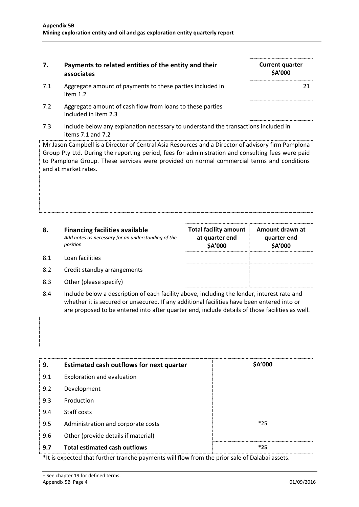### **7. Payments to related entities of the entity and their associates**

- 7.1 Aggregate amount of payments to these parties included in item 1.2
- 7.2 Aggregate amount of cash flow from loans to these parties included in item 2.3
- 7.3 Include below any explanation necessary to understand the transactions included in items 7.1 and 7.2

Mr Jason Campbell is a Director of Central Asia Resources and a Director of advisory firm Pamplona Group Pty Ltd. During the reporting period, fees for administration and consulting fees were paid to Pamplona Group. These services were provided on normal commercial terms and conditions and at market rates.

| 8.  | <b>Financing facilities available</b><br>Add notes as necessary for an understanding of the<br>position | <b>Total facility amount</b><br>at quarter end<br>\$A'000 | Amount drawn at<br>quarter end<br>\$A'000 |
|-----|---------------------------------------------------------------------------------------------------------|-----------------------------------------------------------|-------------------------------------------|
| 8.1 | Loan facilities                                                                                         |                                                           |                                           |
| 8.2 | Credit standby arrangements                                                                             |                                                           |                                           |

- 8.3 Other (please specify)
- 8.4 Include below a description of each facility above, including the lender, interest rate and whether it is secured or unsecured. If any additional facilities have been entered into or are proposed to be entered into after quarter end, include details of those facilities as well.

**9. Estimated cash outflows for next quarter \$A'000** 9.1 Exploration and evaluation 9.2 Development 9.3 Production 9.4 Staff costs 9.5 Administration and corporate costs **Administration** and corporate costs 9.6 Other (provide details if material) **9.7 Total estimated cash outflows \*25**

\*It is expected that further tranche payments will flow from the prior sale of Dalabai assets.

| <b>Current quarter</b><br>\$A'000 |    |
|-----------------------------------|----|
|                                   | 21 |
|                                   |    |